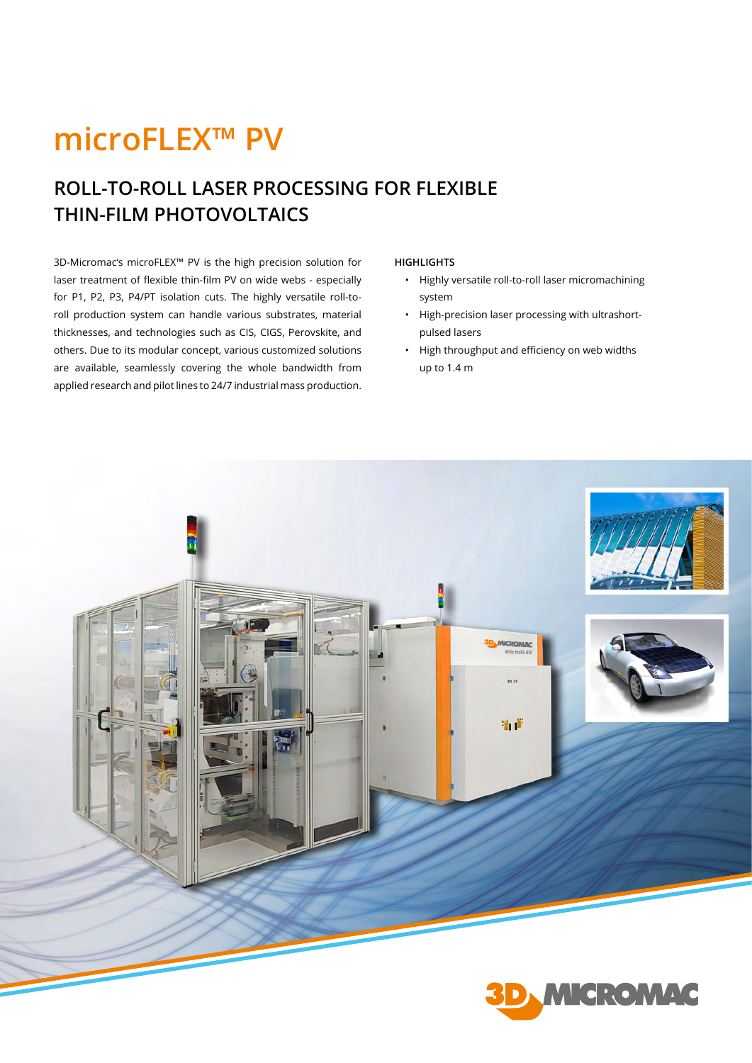## **microFLEX™ PV**

## **ROLL-TO-ROLL LASER PROCESSING FOR FLEXIBLE THIN-FILM PHOTOVOLTAICS**

3D-Micromac's microFLEX™ PV is the high precision solution for laser treatment of flexible thin-film PV on wide webs - especially for P1, P2, P3, P4/PT isolation cuts. The highly versatile roll-toroll production system can handle various substrates, material thicknesses, and technologies such as CIS, CIGS, Perovskite, and others. Due to its modular concept, various customized solutions are available, seamlessly covering the whole bandwidth from applied research and pilot lines to 24/7 industrial mass production.

## **HIGHLIGHTS**

- Highly versatile roll-to-roll laser micromachining system
- High-precision laser processing with ultrashortpulsed lasers
- High throughput and efficiency on web widths up to 1.4 m